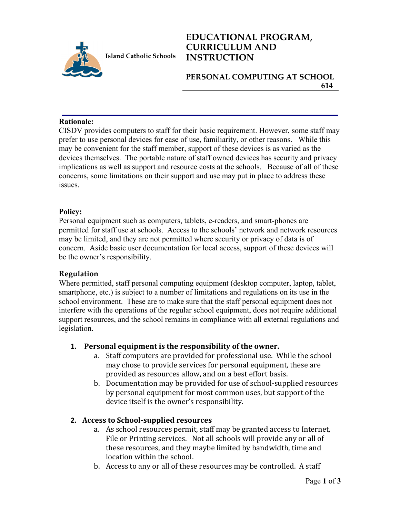

## **EDUCATIONAL PROGRAM, CURRICULUM AND INSTRUCTION**

**PERSONAL COMPUTING AT SCHOOL 614**

#### **Rationale:**

CISDV provides computers to staff for their basic requirement. However, some staff may prefer to use personal devices for ease of use, familiarity, or other reasons. While this may be convenient for the staff member, support of these devices is as varied as the devices themselves. The portable nature of staff owned devices has security and privacy implications as well as support and resource costs at the schools. Because of all of these concerns, some limitations on their support and use may put in place to address these **issues** 

### **Policy:**

Personal equipment such as computers, tablets, e-readers, and smart-phones are permitted for staff use at schools. Access to the schools' network and network resources may be limited, and they are not permitted where security or privacy of data is of concern. Aside basic user documentation for local access, support of these devices will be the owner's responsibility.

### **Regulation**

Where permitted, staff personal computing equipment (desktop computer, laptop, tablet, smartphone, etc.) is subject to a number of limitations and regulations on its use in the school environment. These are to make sure that the staff personal equipment does not interfere with the operations of the regular school equipment, does not require additional support resources, and the school remains in compliance with all external regulations and legislation.

### **1.** Personal equipment is the responsibility of the owner.

- a. Staff computers are provided for professional use. While the school may chose to provide services for personal equipment, these are provided as resources allow, and on a best effort basis.
- b. Documentation may be provided for use of school-supplied resources by personal equipment for most common uses, but support of the device itself is the owner's responsibility.

### **2. Access to School-supplied resources**

- a. As school resources permit, staff may be granted access to Internet, File or Printing services. Not all schools will provide any or all of these resources, and they maybe limited by bandwidth, time and location within the school.
- b. Access to any or all of these resources may be controlled. A staff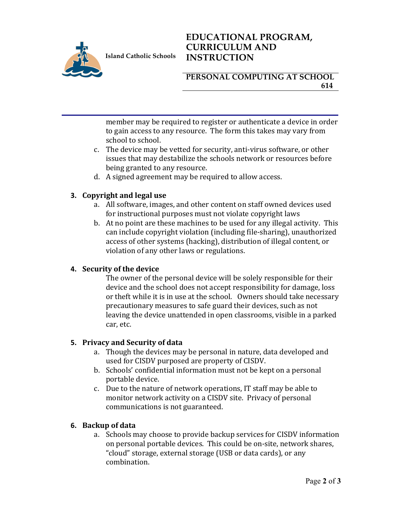

**Island Catholic Schools** 

# **EDUCATIONAL PROGRAM, CURRICULUM AND INSTRUCTION**

### **PERSONAL COMPUTING AT SCHOOL 614**

member may be required to register or authenticate a device in order to gain access to any resource. The form this takes may vary from school to school.

- c. The device may be vetted for security, anti-virus software, or other issues that may destabilize the schools network or resources before being granted to any resource.
- d. A signed agreement may be required to allow access.

### **3.** Copyright and legal use

- a. All software, images, and other content on staff owned devices used for instructional purposes must not violate copyright laws
- b. At no point are these machines to be used for any illegal activity. This can include copyright violation (including file-sharing), unauthorized access of other systems (hacking), distribution of illegal content, or violation of any other laws or regulations.

### **4.** Security of the device

The owner of the personal device will be solely responsible for their device and the school does not accept responsibility for damage, loss or theft while it is in use at the school. Owners should take necessary precautionary measures to safe guard their devices, such as not leaving the device unattended in open classrooms, visible in a parked car, etc.

### **5. Privacy and Security of data**

- a. Though the devices may be personal in nature, data developed and used for CISDV purposed are property of CISDV.
- b. Schools' confidential information must not be kept on a personal portable device.
- c. Due to the nature of network operations, IT staff may be able to monitor network activity on a CISDV site. Privacy of personal communications is not guaranteed.

### **6. Backup of data**

a. Schools may choose to provide backup services for CISDV information on personal portable devices. This could be on-site, network shares, "cloud" storage, external storage (USB or data cards), or any combination.